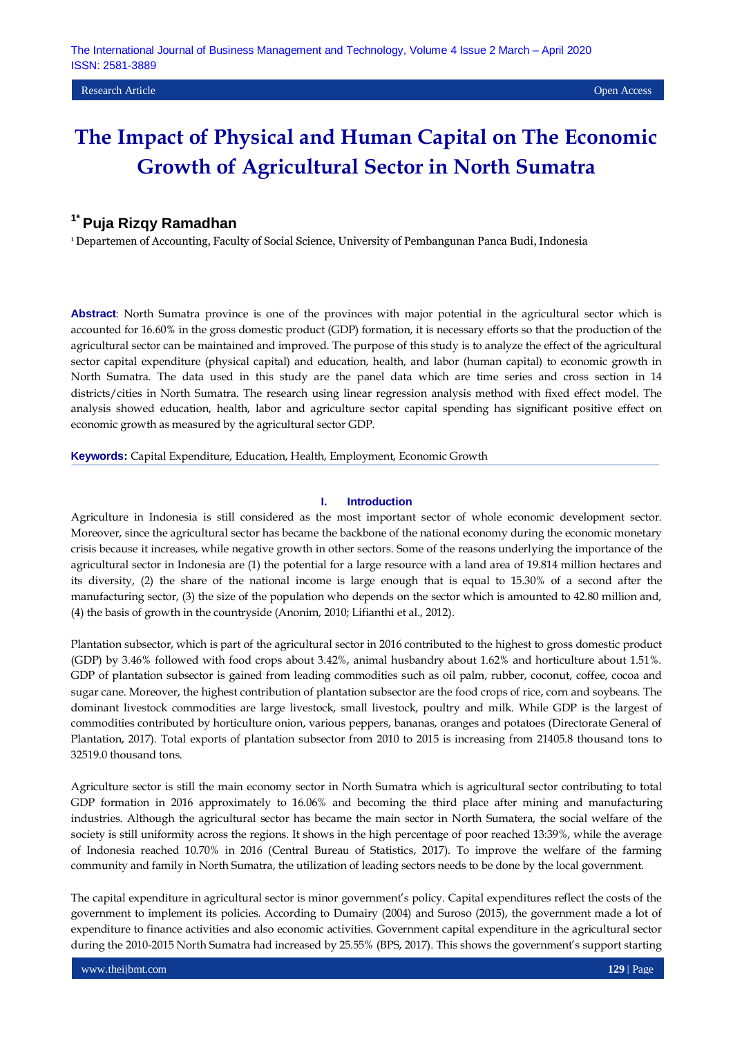## **1\* Puja Rizqy Ramadhan**

<sup>1</sup> Departemen of Accounting, Faculty of Social Science, University of Pembangunan Panca Budi, Indonesia

**Abstract**: North Sumatra province is one of the provinces with major potential in the agricultural sector which is accounted for 16.60% in the gross domestic product (GDP) formation, it is necessary efforts so that the production of the agricultural sector can be maintained and improved. The purpose of this study is to analyze the effect of the agricultural sector capital expenditure (physical capital) and education, health, and labor (human capital) to economic growth in North Sumatra. The data used in this study are the panel data which are time series and cross section in 14 districts/cities in North Sumatra. The research using linear regression analysis method with fixed effect model. The analysis showed education, health, labor and agriculture sector capital spending has significant positive effect on economic growth as measured by the agricultural sector GDP.

**Keywords:** Capital Expenditure, Education, Health, Employment, Economic Growth

#### **I. Introduction**

Agriculture in Indonesia is still considered as the most important sector of whole economic development sector. Moreover, since the agricultural sector has became the backbone of the national economy during the economic monetary crisis because it increases, while negative growth in other sectors. Some of the reasons underlying the importance of the agricultural sector in Indonesia are (1) the potential for a large resource with a land area of 19.814 million hectares and its diversity, (2) the share of the national income is large enough that is equal to 15.30% of a second after the manufacturing sector, (3) the size of the population who depends on the sector which is amounted to 42.80 million and, (4) the basis of growth in the countryside (Anonim, 2010; Lifianthi et al., 2012).

Plantation subsector, which is part of the agricultural sector in 2016 contributed to the highest to gross domestic product (GDP) by 3.46% followed with food crops about 3.42%, animal husbandry about 1.62% and horticulture about 1.51%. GDP of plantation subsector is gained from leading commodities such as oil palm, rubber, coconut, coffee, cocoa and sugar cane. Moreover, the highest contribution of plantation subsector are the food crops of rice, corn and soybeans. The dominant livestock commodities are large livestock, small livestock, poultry and milk. While GDP is the largest of commodities contributed by horticulture onion, various peppers, bananas, oranges and potatoes (Directorate General of Plantation, 2017). Total exports of plantation subsector from 2010 to 2015 is increasing from 21405.8 thousand tons to 32519.0 thousand tons.

Agriculture sector is still the main economy sector in North Sumatra which is agricultural sector contributing to total GDP formation in 2016 approximately to 16.06% and becoming the third place after mining and manufacturing industries. Although the agricultural sector has became the main sector in North Sumatera, the social welfare of the society is still uniformity across the regions. It shows in the high percentage of poor reached 13:39%, while the average of Indonesia reached 10.70% in 2016 (Central Bureau of Statistics, 2017). To improve the welfare of the farming community and family in North Sumatra, the utilization of leading sectors needs to be done by the local government.

The capital expenditure in agricultural sector is minor government's policy. Capital expenditures reflect the costs of the government to implement its policies. According to Dumairy (2004) and Suroso (2015), the government made a lot of expenditure to finance activities and also economic activities. Government capital expenditure in the agricultural sector during the 2010-2015 North Sumatra had increased by 25.55% (BPS, 2017). This shows the government's support starting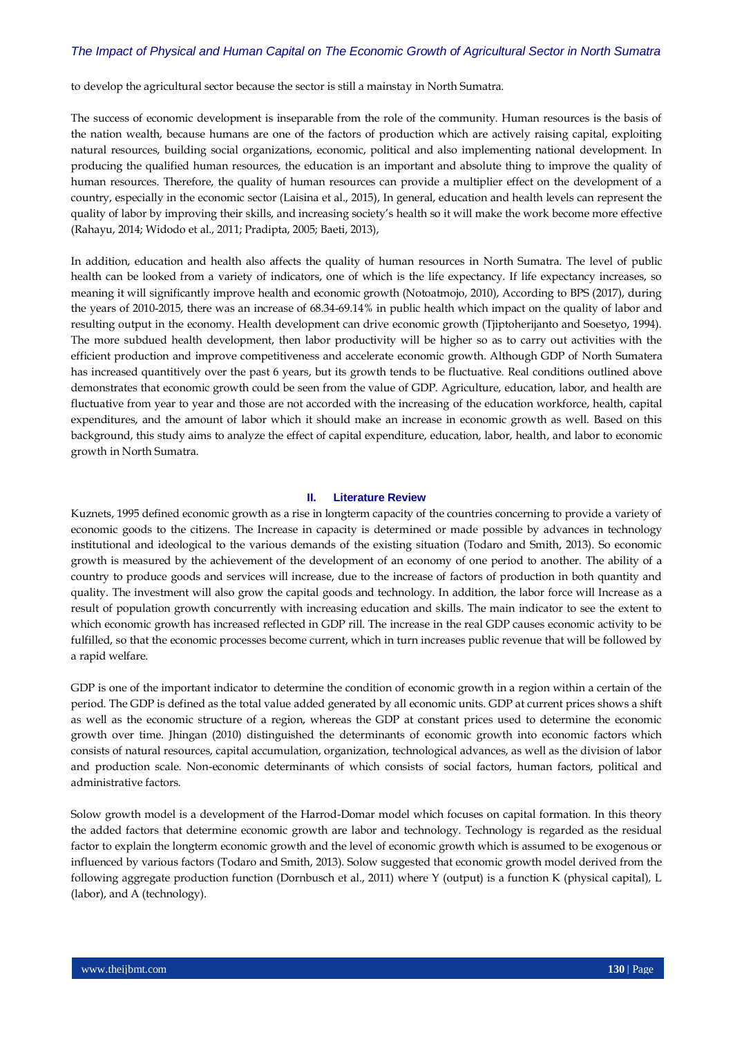to develop the agricultural sector because the sector is still a mainstay in North Sumatra.

The success of economic development is inseparable from the role of the community. Human resources is the basis of the nation wealth, because humans are one of the factors of production which are actively raising capital, exploiting natural resources, building social organizations, economic, political and also implementing national development. In producing the qualified human resources, the education is an important and absolute thing to improve the quality of human resources. Therefore, the quality of human resources can provide a multiplier effect on the development of a country, especially in the economic sector (Laisina et al., 2015), In general, education and health levels can represent the quality of labor by improving their skills, and increasing society's health so it will make the work become more effective (Rahayu, 2014; Widodo et al., 2011; Pradipta, 2005; Baeti, 2013),

In addition, education and health also affects the quality of human resources in North Sumatra. The level of public health can be looked from a variety of indicators, one of which is the life expectancy. If life expectancy increases, so meaning it will significantly improve health and economic growth (Notoatmojo, 2010), According to BPS (2017), during the years of 2010-2015, there was an increase of 68.34-69.14% in public health which impact on the quality of labor and resulting output in the economy. Health development can drive economic growth (Tjiptoherijanto and Soesetyo, 1994). The more subdued health development, then labor productivity will be higher so as to carry out activities with the efficient production and improve competitiveness and accelerate economic growth. Although GDP of North Sumatera has increased quantitively over the past 6 years, but its growth tends to be fluctuative. Real conditions outlined above demonstrates that economic growth could be seen from the value of GDP. Agriculture, education, labor, and health are fluctuative from year to year and those are not accorded with the increasing of the education workforce, health, capital expenditures, and the amount of labor which it should make an increase in economic growth as well. Based on this background, this study aims to analyze the effect of capital expenditure, education, labor, health, and labor to economic growth in North Sumatra.

#### **II. Literature Review**

Kuznets, 1995 defined economic growth as a rise in longterm capacity of the countries concerning to provide a variety of economic goods to the citizens. The Increase in capacity is determined or made possible by advances in technology institutional and ideological to the various demands of the existing situation (Todaro and Smith, 2013). So economic growth is measured by the achievement of the development of an economy of one period to another. The ability of a country to produce goods and services will increase, due to the increase of factors of production in both quantity and quality. The investment will also grow the capital goods and technology. In addition, the labor force will Increase as a result of population growth concurrently with increasing education and skills. The main indicator to see the extent to which economic growth has increased reflected in GDP rill. The increase in the real GDP causes economic activity to be fulfilled, so that the economic processes become current, which in turn increases public revenue that will be followed by a rapid welfare.

GDP is one of the important indicator to determine the condition of economic growth in a region within a certain of the period. The GDP is defined as the total value added generated by all economic units. GDP at current prices shows a shift as well as the economic structure of a region, whereas the GDP at constant prices used to determine the economic growth over time. Jhingan (2010) distinguished the determinants of economic growth into economic factors which consists of natural resources, capital accumulation, organization, technological advances, as well as the division of labor and production scale. Non-economic determinants of which consists of social factors, human factors, political and administrative factors.

Solow growth model is a development of the Harrod-Domar model which focuses on capital formation. In this theory the added factors that determine economic growth are labor and technology. Technology is regarded as the residual factor to explain the longterm economic growth and the level of economic growth which is assumed to be exogenous or influenced by various factors (Todaro and Smith, 2013). Solow suggested that economic growth model derived from the following aggregate production function (Dornbusch et al., 2011) where Y (output) is a function K (physical capital), L (labor), and A (technology).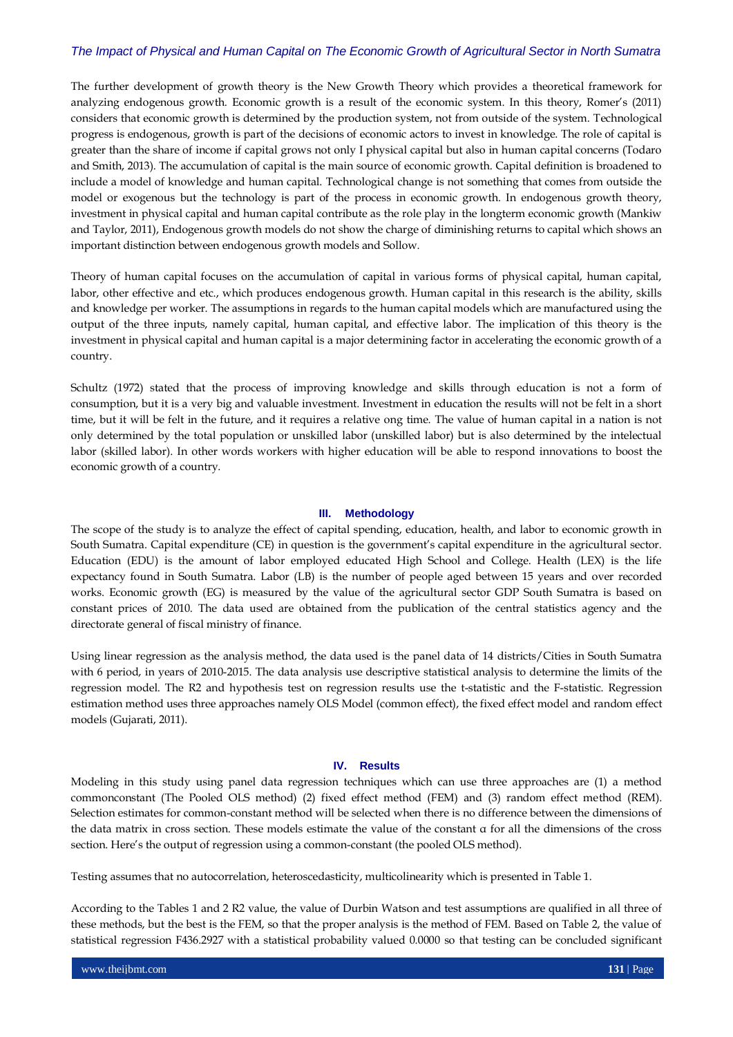The further development of growth theory is the New Growth Theory which provides a theoretical framework for analyzing endogenous growth. Economic growth is a result of the economic system. In this theory, Romer's (2011) considers that economic growth is determined by the production system, not from outside of the system. Technological progress is endogenous, growth is part of the decisions of economic actors to invest in knowledge. The role of capital is greater than the share of income if capital grows not only I physical capital but also in human capital concerns (Todaro and Smith, 2013). The accumulation of capital is the main source of economic growth. Capital definition is broadened to include a model of knowledge and human capital. Technological change is not something that comes from outside the model or exogenous but the technology is part of the process in economic growth. In endogenous growth theory, investment in physical capital and human capital contribute as the role play in the longterm economic growth (Mankiw and Taylor, 2011), Endogenous growth models do not show the charge of diminishing returns to capital which shows an important distinction between endogenous growth models and Sollow.

Theory of human capital focuses on the accumulation of capital in various forms of physical capital, human capital, labor, other effective and etc., which produces endogenous growth. Human capital in this research is the ability, skills and knowledge per worker. The assumptions in regards to the human capital models which are manufactured using the output of the three inputs, namely capital, human capital, and effective labor. The implication of this theory is the investment in physical capital and human capital is a major determining factor in accelerating the economic growth of a country.

Schultz (1972) stated that the process of improving knowledge and skills through education is not a form of consumption, but it is a very big and valuable investment. Investment in education the results will not be felt in a short time, but it will be felt in the future, and it requires a relative ong time. The value of human capital in a nation is not only determined by the total population or unskilled labor (unskilled labor) but is also determined by the intelectual labor (skilled labor). In other words workers with higher education will be able to respond innovations to boost the economic growth of a country.

#### **III. Methodology**

The scope of the study is to analyze the effect of capital spending, education, health, and labor to economic growth in South Sumatra. Capital expenditure (CE) in question is the government's capital expenditure in the agricultural sector. Education (EDU) is the amount of labor employed educated High School and College. Health (LEX) is the life expectancy found in South Sumatra. Labor (LB) is the number of people aged between 15 years and over recorded works. Economic growth (EG) is measured by the value of the agricultural sector GDP South Sumatra is based on constant prices of 2010. The data used are obtained from the publication of the central statistics agency and the directorate general of fiscal ministry of finance.

Using linear regression as the analysis method, the data used is the panel data of 14 districts/Cities in South Sumatra with 6 period, in years of 2010-2015. The data analysis use descriptive statistical analysis to determine the limits of the regression model. The R2 and hypothesis test on regression results use the t-statistic and the F-statistic. Regression estimation method uses three approaches namely OLS Model (common effect), the fixed effect model and random effect models (Gujarati, 2011).

#### **IV. Results**

Modeling in this study using panel data regression techniques which can use three approaches are (1) a method commonconstant (The Pooled OLS method) (2) fixed effect method (FEM) and (3) random effect method (REM). Selection estimates for common-constant method will be selected when there is no difference between the dimensions of the data matrix in cross section. These models estimate the value of the constant α for all the dimensions of the cross section. Here's the output of regression using a common-constant (the pooled OLS method).

Testing assumes that no autocorrelation, heteroscedasticity, multicolinearity which is presented in Table 1.

According to the Tables 1 and 2 R2 value, the value of Durbin Watson and test assumptions are qualified in all three of these methods, but the best is the FEM, so that the proper analysis is the method of FEM. Based on Table 2, the value of statistical regression F436.2927 with a statistical probability valued 0.0000 so that testing can be concluded significant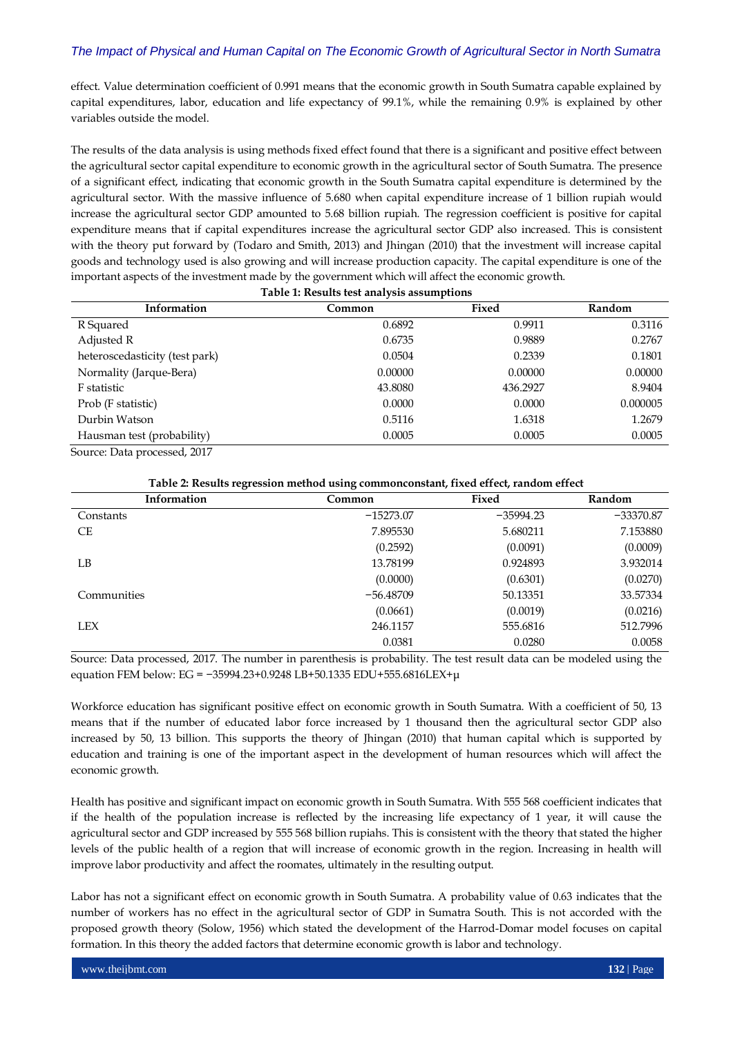effect. Value determination coefficient of 0.991 means that the economic growth in South Sumatra capable explained by capital expenditures, labor, education and life expectancy of 99.1%, while the remaining 0.9% is explained by other variables outside the model.

The results of the data analysis is using methods fixed effect found that there is a significant and positive effect between the agricultural sector capital expenditure to economic growth in the agricultural sector of South Sumatra. The presence of a significant effect, indicating that economic growth in the South Sumatra capital expenditure is determined by the agricultural sector. With the massive influence of 5.680 when capital expenditure increase of 1 billion rupiah would increase the agricultural sector GDP amounted to 5.68 billion rupiah. The regression coefficient is positive for capital expenditure means that if capital expenditures increase the agricultural sector GDP also increased. This is consistent with the theory put forward by (Todaro and Smith, 2013) and Jhingan (2010) that the investment will increase capital goods and technology used is also growing and will increase production capacity. The capital expenditure is one of the important aspects of the investment made by the government which will affect the economic growth.

| Table 1: Results test analysis assumptions |         |          |               |  |
|--------------------------------------------|---------|----------|---------------|--|
| Information                                | Common  | Fixed    | <b>Random</b> |  |
| R Squared                                  | 0.6892  | 0.9911   | 0.3116        |  |
| Adjusted R                                 | 0.6735  | 0.9889   | 0.2767        |  |
| heteroscedasticity (test park)             | 0.0504  | 0.2339   | 0.1801        |  |
| Normality (Jarque-Bera)                    | 0.00000 | 0.00000  | 0.00000       |  |
| F statistic                                | 43.8080 | 436.2927 | 8.9404        |  |
| Prob (F statistic)                         | 0.0000  | 0.0000   | 0.000005      |  |
| Durbin Watson                              | 0.5116  | 1.6318   | 1.2679        |  |
| Hausman test (probability)<br>.            | 0.0005  | 0.0005   | 0.0005        |  |

Source: Data processed, 2017

| Table 2: Results regression method using common constant, fixed effect, random effect |             |             |               |  |
|---------------------------------------------------------------------------------------|-------------|-------------|---------------|--|
| Information                                                                           | Common      | Fixed       | <b>Random</b> |  |
| Constants                                                                             | $-15273.07$ | $-35994.23$ | $-33370.87$   |  |
| CE                                                                                    | 7.895530    | 5.680211    | 7.153880      |  |
|                                                                                       | (0.2592)    | (0.0091)    | (0.0009)      |  |
| LB                                                                                    | 13.78199    | 0.924893    | 3.932014      |  |
|                                                                                       | (0.0000)    | (0.6301)    | (0.0270)      |  |
| Communities                                                                           | $-56.48709$ | 50.13351    | 33.57334      |  |
|                                                                                       | (0.0661)    | (0.0019)    | (0.0216)      |  |
| <b>LEX</b>                                                                            | 246.1157    | 555.6816    | 512.7996      |  |
|                                                                                       | 0.0381      | 0.0280      | 0.0058        |  |

Source: Data processed, 2017. The number in parenthesis is probability. The test result data can be modeled using the equation FEM below: EG = −35994.23+0.9248 LB+50.1335 EDU+555.6816LEX+μ

Workforce education has significant positive effect on economic growth in South Sumatra. With a coefficient of 50, 13 means that if the number of educated labor force increased by 1 thousand then the agricultural sector GDP also increased by 50, 13 billion. This supports the theory of Jhingan (2010) that human capital which is supported by education and training is one of the important aspect in the development of human resources which will affect the economic growth.

Health has positive and significant impact on economic growth in South Sumatra. With 555 568 coefficient indicates that if the health of the population increase is reflected by the increasing life expectancy of 1 year, it will cause the agricultural sector and GDP increased by 555 568 billion rupiahs. This is consistent with the theory that stated the higher levels of the public health of a region that will increase of economic growth in the region. Increasing in health will improve labor productivity and affect the roomates, ultimately in the resulting output.

Labor has not a significant effect on economic growth in South Sumatra. A probability value of 0.63 indicates that the number of workers has no effect in the agricultural sector of GDP in Sumatra South. This is not accorded with the proposed growth theory (Solow, 1956) which stated the development of the Harrod-Domar model focuses on capital formation. In this theory the added factors that determine economic growth is labor and technology.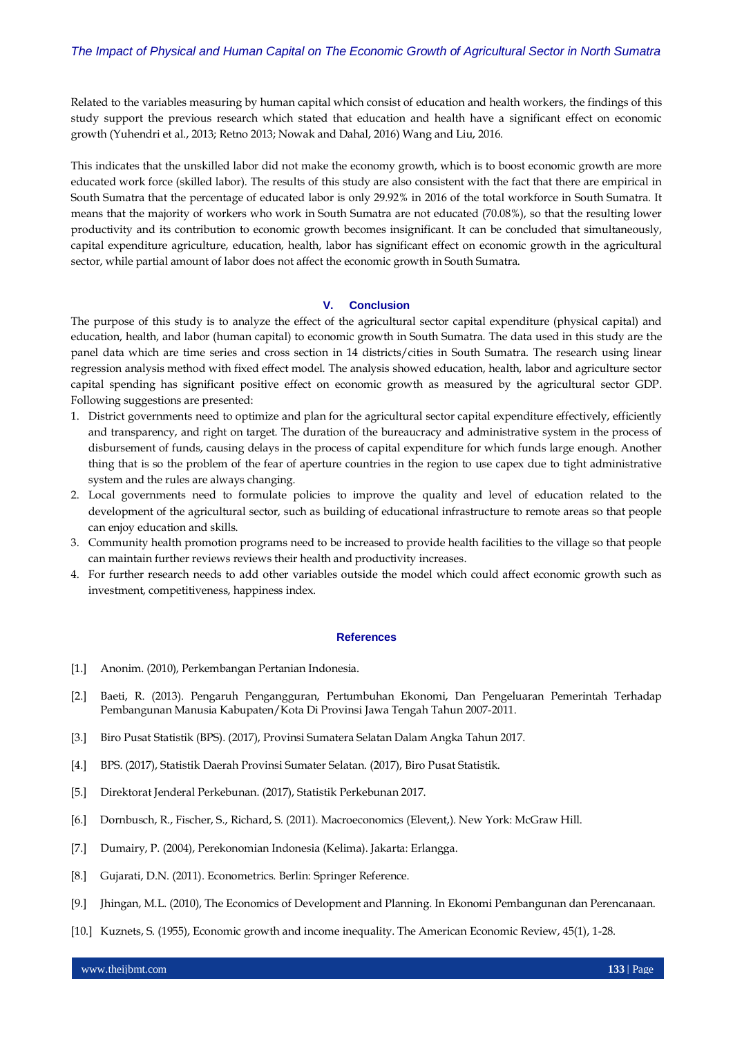Related to the variables measuring by human capital which consist of education and health workers, the findings of this study support the previous research which stated that education and health have a significant effect on economic growth (Yuhendri et al., 2013; Retno 2013; Nowak and Dahal, 2016) Wang and Liu, 2016.

This indicates that the unskilled labor did not make the economy growth, which is to boost economic growth are more educated work force (skilled labor). The results of this study are also consistent with the fact that there are empirical in South Sumatra that the percentage of educated labor is only 29.92% in 2016 of the total workforce in South Sumatra. It means that the majority of workers who work in South Sumatra are not educated (70.08%), so that the resulting lower productivity and its contribution to economic growth becomes insignificant. It can be concluded that simultaneously, capital expenditure agriculture, education, health, labor has significant effect on economic growth in the agricultural sector, while partial amount of labor does not affect the economic growth in South Sumatra.

#### **V. Conclusion**

The purpose of this study is to analyze the effect of the agricultural sector capital expenditure (physical capital) and education, health, and labor (human capital) to economic growth in South Sumatra. The data used in this study are the panel data which are time series and cross section in 14 districts/cities in South Sumatra. The research using linear regression analysis method with fixed effect model. The analysis showed education, health, labor and agriculture sector capital spending has significant positive effect on economic growth as measured by the agricultural sector GDP. Following suggestions are presented:

- 1. District governments need to optimize and plan for the agricultural sector capital expenditure effectively, efficiently and transparency, and right on target. The duration of the bureaucracy and administrative system in the process of disbursement of funds, causing delays in the process of capital expenditure for which funds large enough. Another thing that is so the problem of the fear of aperture countries in the region to use capex due to tight administrative system and the rules are always changing.
- 2. Local governments need to formulate policies to improve the quality and level of education related to the development of the agricultural sector, such as building of educational infrastructure to remote areas so that people can enjoy education and skills.
- 3. Community health promotion programs need to be increased to provide health facilities to the village so that people can maintain further reviews reviews their health and productivity increases.
- 4. For further research needs to add other variables outside the model which could affect economic growth such as investment, competitiveness, happiness index.

#### **References**

- [1.] Anonim. (2010), Perkembangan Pertanian Indonesia.
- [2.] Baeti, R. (2013). Pengaruh Pengangguran, Pertumbuhan Ekonomi, Dan Pengeluaran Pemerintah Terhadap Pembangunan Manusia Kabupaten/Kota Di Provinsi Jawa Tengah Tahun 2007-2011.
- [3.] Biro Pusat Statistik (BPS). (2017), Provinsi Sumatera Selatan Dalam Angka Tahun 2017.
- [4.] BPS. (2017), Statistik Daerah Provinsi Sumater Selatan. (2017), Biro Pusat Statistik.
- [5.] Direktorat Jenderal Perkebunan. (2017), Statistik Perkebunan 2017.
- [6.] Dornbusch, R., Fischer, S., Richard, S. (2011). Macroeconomics (Elevent,). New York: McGraw Hill.
- [7.] Dumairy, P. (2004), Perekonomian Indonesia (Kelima). Jakarta: Erlangga.
- [8.] Gujarati, D.N. (2011). Econometrics. Berlin: Springer Reference.
- [9.] Jhingan, M.L. (2010), The Economics of Development and Planning. In Ekonomi Pembangunan dan Perencanaan.
- [10.] Kuznets, S. (1955), Economic growth and income inequality. The American Economic Review, 45(1), 1-28.